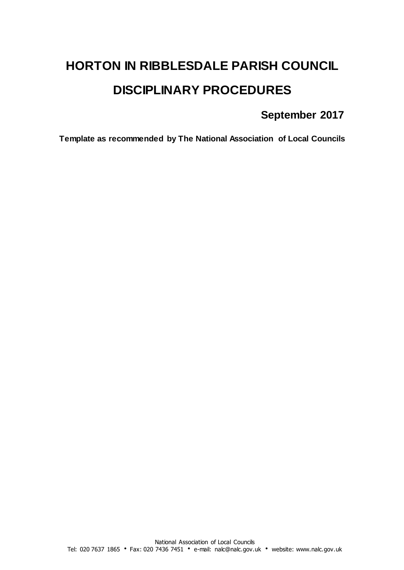# **HORTON IN RIBBLESDALE PARISH COUNCIL DISCIPLINARY PROCEDURES**

# **September 2017**

**Template as recommended by The National Association of Local Councils**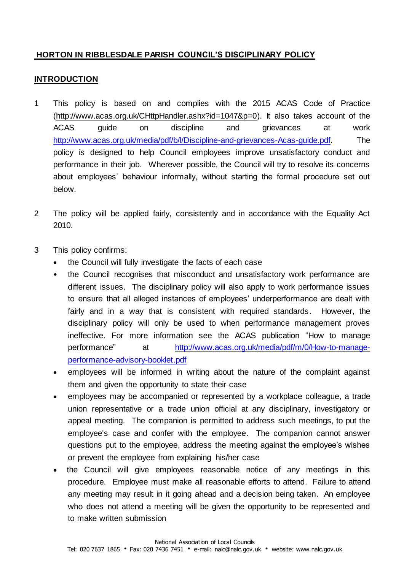# **HORTON IN RIBBLESDALE PARISH COUNCIL'S DISCIPLINARY POLICY**

#### **INTRODUCTION**

- 1 This policy is based on and complies with the 2015 ACAS Code of Practice [\(http://www.acas.org.uk/CHttpHandler.ashx?id=1047&p=0\).](http://www.acas.org.uk/CHttpHandler.ashx?id=1047&p=0) It also takes account of the ACAS guide on discipline and grievances at work [http://www.acas.org.uk/media/pdf/b/l/Discipline-and-grievances-Acas-guide.pdf.](http://www.acas.org.uk/media/pdf/b/l/Discipline-and-grievances-Acas-guide.pdf) The policy is designed to help Council employees improve unsatisfactory conduct and performance in their job. Wherever possible, the Council will try to resolve its concerns about employees' behaviour informally, without starting the formal procedure set out below.
- 2 The policy will be applied fairly, consistently and in accordance with the Equality Act 2010.
- 3 This policy confirms:
	- the Council will fully investigate the facts of each case
	- the Council recognises that misconduct and unsatisfactory work performance are different issues. The disciplinary policy will also apply to work performance issues to ensure that all alleged instances of employees' underperformance are dealt with fairly and in a way that is consistent with required standards. However, the disciplinary policy will only be used to when performance management proves ineffective. For more information see the ACAS publication "How to manage performance" at [http://www.acas.org.uk/media/pdf/m/0/How-to-manage](http://www.acas.org.uk/media/pdf/m/0/How-to-manage-performance-advisory-booklet.pdf)[performance-advisory-booklet.pdf](http://www.acas.org.uk/media/pdf/m/0/How-to-manage-performance-advisory-booklet.pdf)
	- employees will be informed in writing about the nature of the complaint against them and given the opportunity to state their case
	- employees may be accompanied or represented by a workplace colleague, a trade union representative or a trade union official at any disciplinary, investigatory or appeal meeting. The companion is permitted to address such meetings, to put the employee's case and confer with the employee. The companion cannot answer questions put to the employee, address the meeting against the employee's wishes or prevent the employee from explaining his/her case
	- the Council will give employees reasonable notice of any meetings in this procedure. Employee must make all reasonable efforts to attend. Failure to attend any meeting may result in it going ahead and a decision being taken. An employee who does not attend a meeting will be given the opportunity to be represented and to make written submission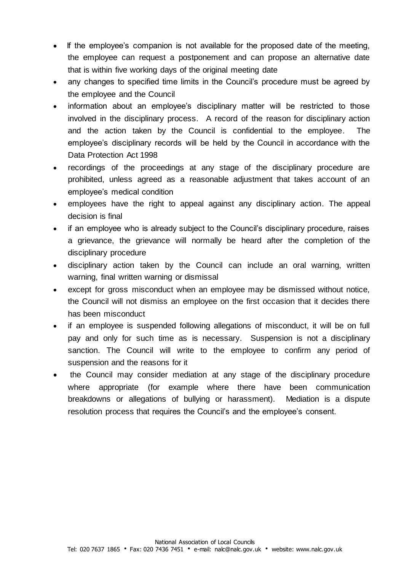- If the employee's companion is not available for the proposed date of the meeting, the employee can request a postponement and can propose an alternative date that is within five working days of the original meeting date
- any changes to specified time limits in the Council's procedure must be agreed by the employee and the Council
- information about an employee's disciplinary matter will be restricted to those involved in the disciplinary process. A record of the reason for disciplinary action and the action taken by the Council is confidential to the employee. The employee's disciplinary records will be held by the Council in accordance with the Data Protection Act 1998
- recordings of the proceedings at any stage of the disciplinary procedure are prohibited, unless agreed as a reasonable adjustment that takes account of an employee's medical condition
- employees have the right to appeal against any disciplinary action. The appeal decision is final
- if an employee who is already subject to the Council's disciplinary procedure, raises a grievance, the grievance will normally be heard after the completion of the disciplinary procedure
- disciplinary action taken by the Council can include an oral warning, written warning, final written warning or dismissal
- except for gross misconduct when an employee may be dismissed without notice, the Council will not dismiss an employee on the first occasion that it decides there has been misconduct
- if an employee is suspended following allegations of misconduct, it will be on full pay and only for such time as is necessary. Suspension is not a disciplinary sanction. The Council will write to the employee to confirm any period of suspension and the reasons for it
- the Council may consider mediation at any stage of the disciplinary procedure where appropriate (for example where there have been communication breakdowns or allegations of bullying or harassment). Mediation is a dispute resolution process that requires the Council's and the employee's consent.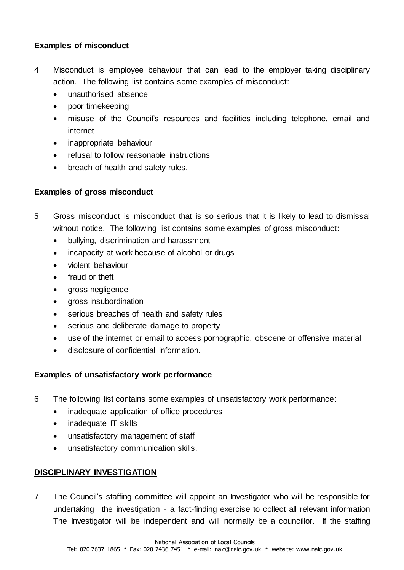#### **Examples of misconduct**

- 4 Misconduct is employee behaviour that can lead to the employer taking disciplinary action. The following list contains some examples of misconduct:
	- unauthorised absence
	- poor timekeeping
	- misuse of the Council's resources and facilities including telephone, email and internet
	- inappropriate behaviour
	- refusal to follow reasonable instructions
	- breach of health and safety rules.

# **Examples of gross misconduct**

- 5 Gross misconduct is misconduct that is so serious that it is likely to lead to dismissal without notice. The following list contains some examples of gross misconduct:
	- bullying, discrimination and harassment
	- incapacity at work because of alcohol or drugs
	- violent behaviour
	- fraud or theft
	- gross negligence
	- aross insubordination
	- serious breaches of health and safety rules
	- serious and deliberate damage to property
	- use of the internet or email to access pornographic, obscene or offensive material
	- disclosure of confidential information.

#### **Examples of unsatisfactory work performance**

- 6 The following list contains some examples of unsatisfactory work performance:
	- inadequate application of office procedures
	- inadequate IT skills
	- unsatisfactory management of staff
	- unsatisfactory communication skills.

# **DISCIPLINARY INVESTIGATION**

7 The Council's staffing committee will appoint an Investigator who will be responsible for undertaking the investigation - a fact-finding exercise to collect all relevant information The Investigator will be independent and will normally be a councillor. If the staffing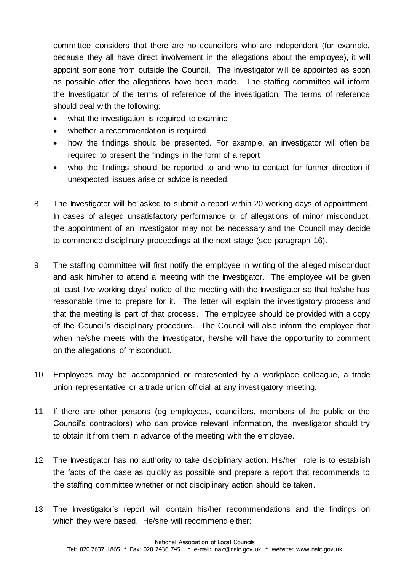committee considers that there are no councillors who are independent (for example, because they all have direct involvement in the allegations about the employee), it will appoint someone from outside the Council. The Investigator will be appointed as soon as possible after the allegations have been made. The staffing committee will inform the Investigator of the terms of reference of the investigation. The terms of reference should deal with the following:

- what the investigation is required to examine
- whether a recommendation is required
- how the findings should be presented. For example, an investigator will often be required to present the findings in the form of a report
- who the findings should be reported to and who to contact for further direction if unexpected issues arise or advice is needed.
- 8 The Investigator will be asked to submit a report within 20 working days of appointment. In cases of alleged unsatisfactory performance or of allegations of minor misconduct, the appointment of an investigator may not be necessary and the Council may decide to commence disciplinary proceedings at the next stage (see paragraph 16).
- 9 The staffing committee will first notify the employee in writing of the alleged misconduct and ask him/her to attend a meeting with the Investigator. The employee will be given at least five working days' notice of the meeting with the Investigator so that he/she has reasonable time to prepare for it. The letter will explain the investigatory process and that the meeting is part of that process. The employee should be provided with a copy of the Council's disciplinary procedure. The Council will also inform the employee that when he/she meets with the Investigator, he/she will have the opportunity to comment on the allegations of misconduct.
- 10 Employees may be accompanied or represented by a workplace colleague, a trade union representative or a trade union official at any investigatory meeting.
- 11 If there are other persons (eg employees, councillors, members of the public or the Council's contractors) who can provide relevant information, the Investigator should try to obtain it from them in advance of the meeting with the employee.
- 12 The Investigator has no authority to take disciplinary action. His/her role is to establish the facts of the case as quickly as possible and prepare a report that recommends to the staffing committee whether or not disciplinary action should be taken.
- 13 The Investigator's report will contain his/her recommendations and the findings on which they were based. He/she will recommend either: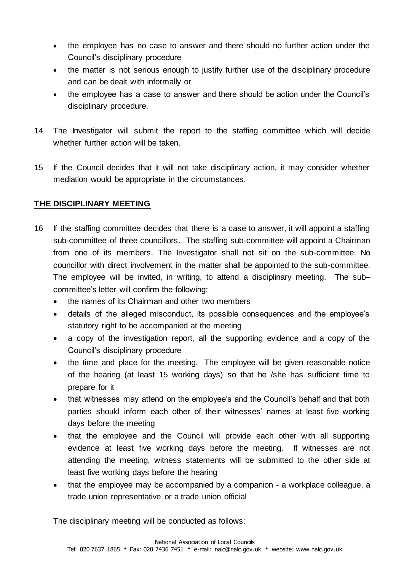- the employee has no case to answer and there should no further action under the Council's disciplinary procedure
- the matter is not serious enough to justify further use of the disciplinary procedure and can be dealt with informally or
- the employee has a case to answer and there should be action under the Council's disciplinary procedure.
- 14 The Investigator will submit the report to the staffing committee which will decide whether further action will be taken.
- 15 If the Council decides that it will not take disciplinary action, it may consider whether mediation would be appropriate in the circumstances.

# **THE DISCIPLINARY MEETING**

- 16 If the staffing committee decides that there is a case to answer, it will appoint a staffing sub-committee of three councillors. The staffing sub-committee will appoint a Chairman from one of its members. The Investigator shall not sit on the sub-committee. No councillor with direct involvement in the matter shall be appointed to the sub-committee. The employee will be invited, in writing, to attend a disciplinary meeting. The sub– committee's letter will confirm the following:
	- the names of its Chairman and other two members
	- details of the alleged misconduct, its possible consequences and the employee's statutory right to be accompanied at the meeting
	- a copy of the investigation report, all the supporting evidence and a copy of the Council's disciplinary procedure
	- the time and place for the meeting. The employee will be given reasonable notice of the hearing (at least 15 working days) so that he /she has sufficient time to prepare for it
	- that witnesses may attend on the employee's and the Council's behalf and that both parties should inform each other of their witnesses' names at least five working days before the meeting
	- that the employee and the Council will provide each other with all supporting evidence at least five working days before the meeting. If witnesses are not attending the meeting, witness statements will be submitted to the other side at least five working days before the hearing
	- that the employee may be accompanied by a companion a workplace colleague, a trade union representative or a trade union official

The disciplinary meeting will be conducted as follows: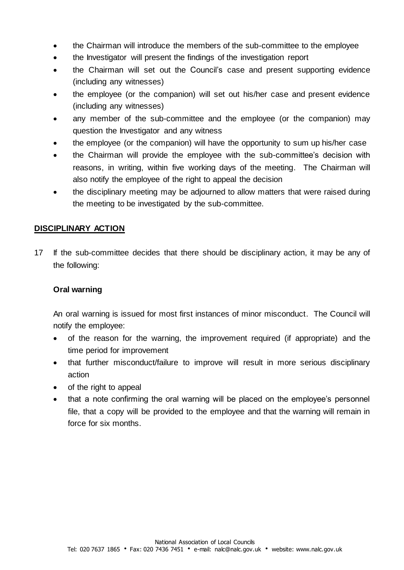- the Chairman will introduce the members of the sub-committee to the employee
- the Investigator will present the findings of the investigation report
- the Chairman will set out the Council's case and present supporting evidence (including any witnesses)
- the employee (or the companion) will set out his/her case and present evidence (including any witnesses)
- any member of the sub-committee and the employee (or the companion) may question the Investigator and any witness
- the employee (or the companion) will have the opportunity to sum up his/her case
- the Chairman will provide the employee with the sub-committee's decision with reasons, in writing, within five working days of the meeting. The Chairman will also notify the employee of the right to appeal the decision
- the disciplinary meeting may be adjourned to allow matters that were raised during the meeting to be investigated by the sub-committee.

#### **DISCIPLINARY ACTION**

17 If the sub-committee decides that there should be disciplinary action, it may be any of the following:

#### **Oral warning**

An oral warning is issued for most first instances of minor misconduct. The Council will notify the employee:

- of the reason for the warning, the improvement required (if appropriate) and the time period for improvement
- that further misconduct/failure to improve will result in more serious disciplinary action
- of the right to appeal
- that a note confirming the oral warning will be placed on the employee's personnel file, that a copy will be provided to the employee and that the warning will remain in force for six months.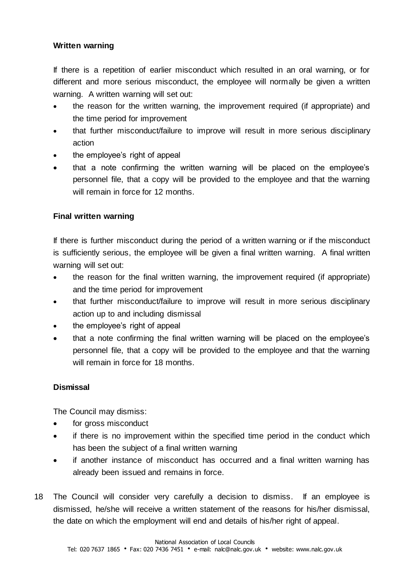#### **Written warning**

If there is a repetition of earlier misconduct which resulted in an oral warning, or for different and more serious misconduct, the employee will normally be given a written warning. A written warning will set out:

- the reason for the written warning, the improvement required (if appropriate) and the time period for improvement
- that further misconduct/failure to improve will result in more serious disciplinary action
- the employee's right of appeal
- that a note confirming the written warning will be placed on the employee's personnel file, that a copy will be provided to the employee and that the warning will remain in force for 12 months.

#### **Final written warning**

If there is further misconduct during the period of a written warning or if the misconduct is sufficiently serious, the employee will be given a final written warning. A final written warning will set out:

- the reason for the final written warning, the improvement required (if appropriate) and the time period for improvement
- that further misconduct/failure to improve will result in more serious disciplinary action up to and including dismissal
- the employee's right of appeal
- that a note confirming the final written warning will be placed on the employee's personnel file, that a copy will be provided to the employee and that the warning will remain in force for 18 months.

#### **Dismissal**

The Council may dismiss:

- for gross misconduct
- if there is no improvement within the specified time period in the conduct which has been the subject of a final written warning
- if another instance of misconduct has occurred and a final written warning has already been issued and remains in force.
- 18 The Council will consider very carefully a decision to dismiss. If an employee is dismissed, he/she will receive a written statement of the reasons for his/her dismissal, the date on which the employment will end and details of his/her right of appeal.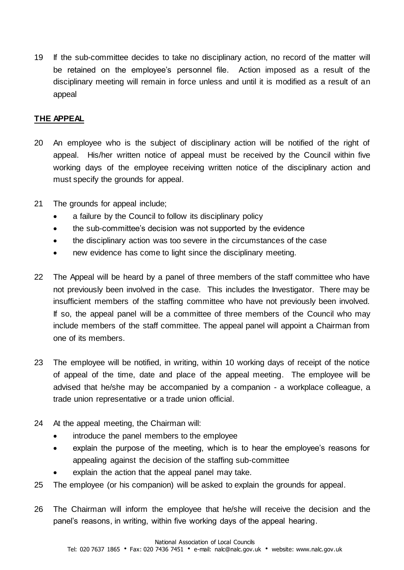19 If the sub-committee decides to take no disciplinary action, no record of the matter will be retained on the employee's personnel file. Action imposed as a result of the disciplinary meeting will remain in force unless and until it is modified as a result of an appeal

# **THE APPEAL**

- 20 An employee who is the subject of disciplinary action will be notified of the right of appeal. His/her written notice of appeal must be received by the Council within five working days of the employee receiving written notice of the disciplinary action and must specify the grounds for appeal.
- 21 The grounds for appeal include;
	- a failure by the Council to follow its disciplinary policy
	- the sub-committee's decision was not supported by the evidence
	- the disciplinary action was too severe in the circumstances of the case
	- new evidence has come to light since the disciplinary meeting.
- 22 The Appeal will be heard by a panel of three members of the staff committee who have not previously been involved in the case. This includes the Investigator. There may be insufficient members of the staffing committee who have not previously been involved. If so, the appeal panel will be a committee of three members of the Council who may include members of the staff committee. The appeal panel will appoint a Chairman from one of its members.
- 23 The employee will be notified, in writing, within 10 working days of receipt of the notice of appeal of the time, date and place of the appeal meeting. The employee will be advised that he/she may be accompanied by a companion - a workplace colleague, a trade union representative or a trade union official.
- 24 At the appeal meeting, the Chairman will:
	- introduce the panel members to the employee
	- explain the purpose of the meeting, which is to hear the employee's reasons for appealing against the decision of the staffing sub-committee
	- explain the action that the appeal panel may take.
- 25 The employee (or his companion) will be asked to explain the grounds for appeal.
- 26 The Chairman will inform the employee that he/she will receive the decision and the panel's reasons, in writing, within five working days of the appeal hearing.